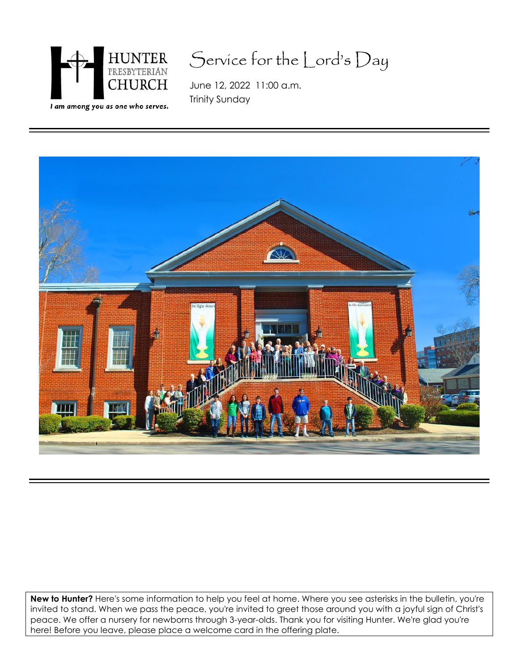

# Service for the Lord's Day

June 12, 2022 11:00 a.m. Trinity Sunday



**New to Hunter?** Here's some information to help you feel at home. Where you see asterisks in the bulletin, you're invited to stand. When we pass the peace, you're invited to greet those around you with a joyful sign of Christ's peace. We offer a nursery for newborns through 3-year-olds. Thank you for visiting Hunter. We're glad you're here! Before you leave, please place a welcome card in the offering plate.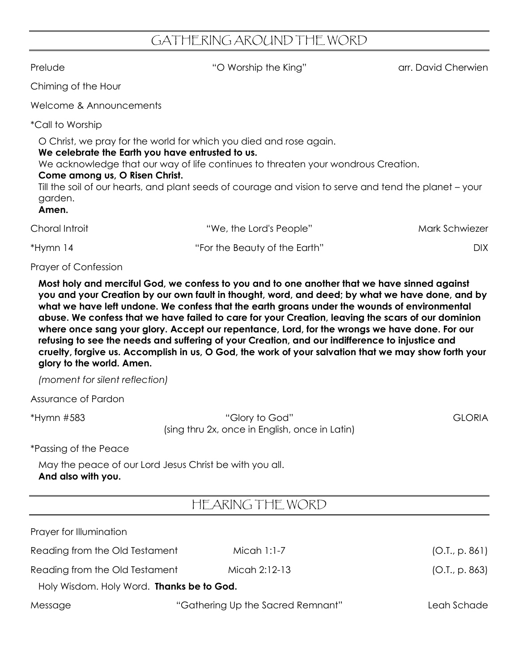## GATHERING AROUND THE WORD

Prelude The Cherwien "O Worship the King" arr. David Cherwien

Chiming of the Hour

Welcome & Announcements

\*Call to Worship

O Christ, we pray for the world for which you died and rose again.

#### **We celebrate the Earth you have entrusted to us.**

We acknowledge that our way of life continues to threaten your wondrous Creation.

### **Come among us, O Risen Christ.**

Till the soil of our hearts, and plant seeds of courage and vision to serve and tend the planet – your garden.

#### **Amen.**

| Choral Introit | "We, the Lord's People"       | Mark Schwiezer |
|----------------|-------------------------------|----------------|
| *Hymn 14       | "For the Beauty of the Earth" | DIX.           |

#### Prayer of Confession

**Most holy and merciful God, we confess to you and to one another that we have sinned against** you and your Creation by our own fault in thought, word, and deed; by what we have done, and by **what we have left undone. We confess that the earth groans under the wounds of environmental abuse. We confess that we have failed to care for your Creation, leaving the scars of our dominion where once sang your glory. Accept our repentance, Lord, for the wrongs we have done. For our refusing to see the needs and suffering of your Creation, and our indifference to injustice and** cruelty, forgive us. Accomplish in us, O God, the work of your salvation that we may show forth your **glory to the world. Amen.**

*(moment for silent reflection)*

Assurance of Pardon

\*Hymn #583 "Glory to God" GLORIA (sing thru 2x, once in English, once in Latin)

\*Passing of the Peace

May the peace of our Lord Jesus Christ be with you all. **And also with you.**

## HEARING THE WORD

| Prayer for Illumination                   |                                   |                |
|-------------------------------------------|-----------------------------------|----------------|
| Reading from the Old Testament            | Micah 1:1-7                       | (O.I., p. 861) |
| Reading from the Old Testament            | Micah 2:12-13                     | [O.I., p. 863] |
| Holy Wisdom. Holy Word. Thanks be to God. |                                   |                |
| Message                                   | "Gathering Up the Sacred Remnant" | Leah Schade    |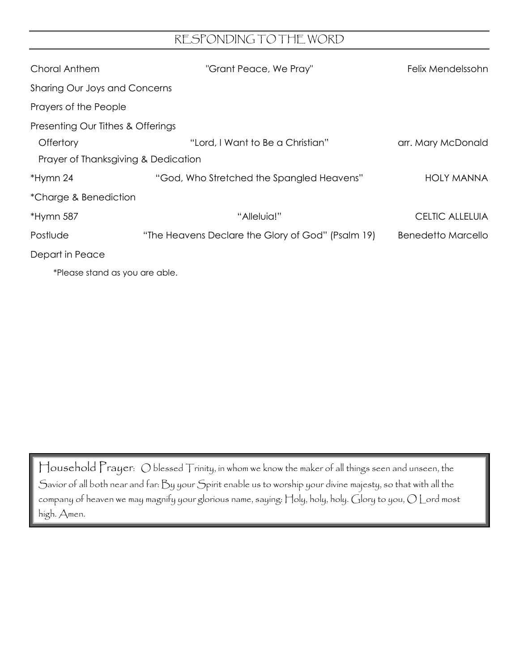## RESPONDING TO THE WORD

| Choral Anthem                       | "Grant Peace, We Pray"                            | Felix Mendelssohn  |
|-------------------------------------|---------------------------------------------------|--------------------|
| Sharing Our Joys and Concerns       |                                                   |                    |
| Prayers of the People               |                                                   |                    |
| Presenting Our Tithes & Offerings   |                                                   |                    |
| Offertory                           | "Lord, I Want to Be a Christian"                  | arr. Mary McDonald |
| Prayer of Thanksgiving & Dedication |                                                   |                    |
| *Hymn 24                            | "God, Who Stretched the Spangled Heavens"         | <b>HOLY MANNA</b>  |
| *Charge & Benediction               |                                                   |                    |
| *Hymn 587                           | "Alleluia!"                                       | CELTIC ALLELUIA    |
| Postlude                            | "The Heavens Declare the Glory of God" (Psalm 19) | Benedetto Marcello |
| Depart in Peace                     |                                                   |                    |
|                                     |                                                   |                    |

\*Please stand as you are able.

Household Prayer: O blessed Trinity, in whom we know the maker of all things seen and unseen, the Savior of all both near and far: By your Spirit enable us to worship your divine majesty, so that with all the company of heaven we may magnify your glorious name, saying:  $\boxdot$  bly, holy.  $\bigcirc$  lory to you,  $O$   $\bigcup$  ord most high. Amen.